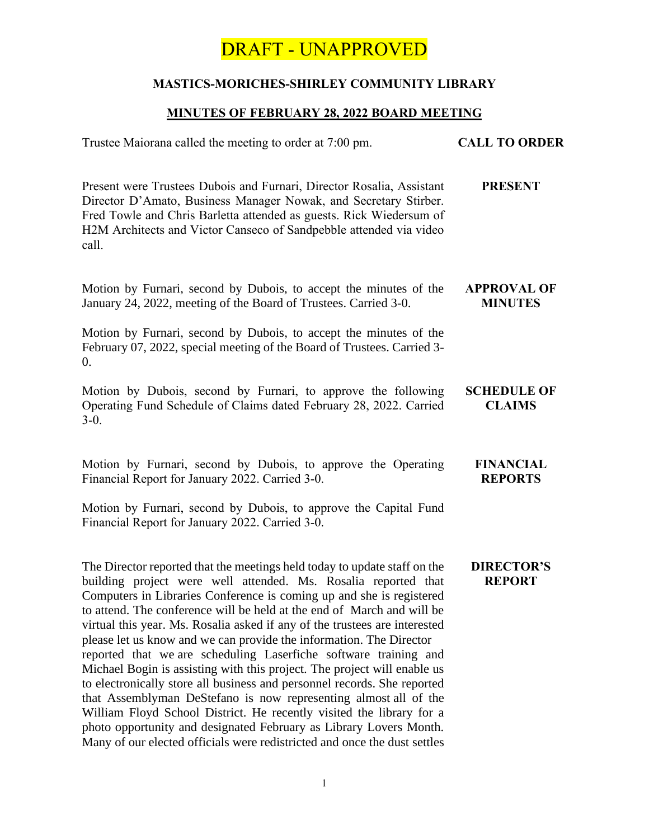### **MASTICS-MORICHES-SHIRLEY COMMUNITY LIBRARY**

### **MINUTES OF FEBRUARY 28, 2022 BOARD MEETING**

| Trustee Maiorana called the meeting to order at 7:00 pm.                                                                                                                                                                                                                                                                                                                                                                                                                                                                                                                                                                                                                                                                                                                                                                                                                                                                                                                      | <b>CALL TO ORDER</b>                 |
|-------------------------------------------------------------------------------------------------------------------------------------------------------------------------------------------------------------------------------------------------------------------------------------------------------------------------------------------------------------------------------------------------------------------------------------------------------------------------------------------------------------------------------------------------------------------------------------------------------------------------------------------------------------------------------------------------------------------------------------------------------------------------------------------------------------------------------------------------------------------------------------------------------------------------------------------------------------------------------|--------------------------------------|
| Present were Trustees Dubois and Furnari, Director Rosalia, Assistant<br>Director D'Amato, Business Manager Nowak, and Secretary Stirber.<br>Fred Towle and Chris Barletta attended as guests. Rick Wiedersum of<br>H2M Architects and Victor Canseco of Sandpebble attended via video<br>call.                                                                                                                                                                                                                                                                                                                                                                                                                                                                                                                                                                                                                                                                               | <b>PRESENT</b>                       |
| Motion by Furnari, second by Dubois, to accept the minutes of the<br>January 24, 2022, meeting of the Board of Trustees. Carried 3-0.                                                                                                                                                                                                                                                                                                                                                                                                                                                                                                                                                                                                                                                                                                                                                                                                                                         | <b>APPROVAL OF</b><br><b>MINUTES</b> |
| Motion by Furnari, second by Dubois, to accept the minutes of the<br>February 07, 2022, special meeting of the Board of Trustees. Carried 3-<br>0.                                                                                                                                                                                                                                                                                                                                                                                                                                                                                                                                                                                                                                                                                                                                                                                                                            |                                      |
| Motion by Dubois, second by Furnari, to approve the following<br>Operating Fund Schedule of Claims dated February 28, 2022. Carried<br>$3-0.$                                                                                                                                                                                                                                                                                                                                                                                                                                                                                                                                                                                                                                                                                                                                                                                                                                 | <b>SCHEDULE OF</b><br><b>CLAIMS</b>  |
| Motion by Furnari, second by Dubois, to approve the Operating<br>Financial Report for January 2022. Carried 3-0.                                                                                                                                                                                                                                                                                                                                                                                                                                                                                                                                                                                                                                                                                                                                                                                                                                                              | <b>FINANCIAL</b><br><b>REPORTS</b>   |
| Motion by Furnari, second by Dubois, to approve the Capital Fund<br>Financial Report for January 2022. Carried 3-0.                                                                                                                                                                                                                                                                                                                                                                                                                                                                                                                                                                                                                                                                                                                                                                                                                                                           |                                      |
| The Director reported that the meetings held today to update staff on the<br>building project were well attended. Ms. Rosalia reported that<br>Computers in Libraries Conference is coming up and she is registered<br>to attend. The conference will be held at the end of March and will be<br>virtual this year. Ms. Rosalia asked if any of the trustees are interested<br>please let us know and we can provide the information. The Director<br>reported that we are scheduling Laserfiche software training and<br>Michael Bogin is assisting with this project. The project will enable us<br>to electronically store all business and personnel records. She reported<br>that Assemblyman DeStefano is now representing almost all of the<br>William Floyd School District. He recently visited the library for a<br>photo opportunity and designated February as Library Lovers Month.<br>Many of our elected officials were redistricted and once the dust settles | <b>DIRECTOR'S</b><br><b>REPORT</b>   |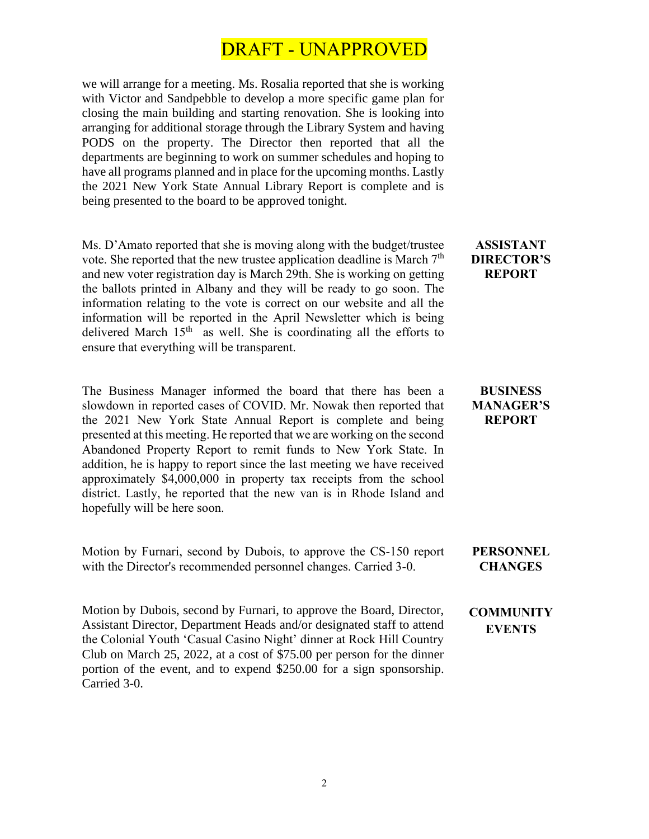we will arrange for a meeting. Ms. Rosalia reported that she is working with Victor and Sandpebble to develop a more specific game plan for closing the main building and starting renovation. She is looking into arranging for additional storage through the Library System and having PODS on the property. The Director then reported that all the departments are beginning to work on summer schedules and hoping to have all programs planned and in place for the upcoming months. Lastly the 2021 New York State Annual Library Report is complete and is being presented to the board to be approved tonight.

Ms. D'Amato reported that she is moving along with the budget/trustee vote. She reported that the new trustee application deadline is March  $7<sup>th</sup>$ and new voter registration day is March 29th. She is working on getting the ballots printed in Albany and they will be ready to go soon. The information relating to the vote is correct on our website and all the information will be reported in the April Newsletter which is being delivered March  $15<sup>th</sup>$  as well. She is coordinating all the efforts to ensure that everything will be transparent.

The Business Manager informed the board that there has been a slowdown in reported cases of COVID. Mr. Nowak then reported that the 2021 New York State Annual Report is complete and being presented at this meeting. He reported that we are working on the second Abandoned Property Report to remit funds to New York State. In addition, he is happy to report since the last meeting we have received approximately \$4,000,000 in property tax receipts from the school district. Lastly, he reported that the new van is in Rhode Island and hopefully will be here soon.

Motion by Furnari, second by Dubois, to approve the CS-150 report with the Director's recommended personnel changes. Carried 3-0. **CHANGES**

Motion by Dubois, second by Furnari, to approve the Board, Director, Assistant Director, Department Heads and/or designated staff to attend the Colonial Youth 'Casual Casino Night' dinner at Rock Hill Country Club on March 25, 2022, at a cost of \$75.00 per person for the dinner portion of the event, and to expend \$250.00 for a sign sponsorship. Carried 3-0.

#### **ASSISTANT DIRECTOR'S REPORT**

#### **BUSINESS MANAGER'S REPORT**

**PERSONNEL** 

#### **COMMUNITY EVENTS**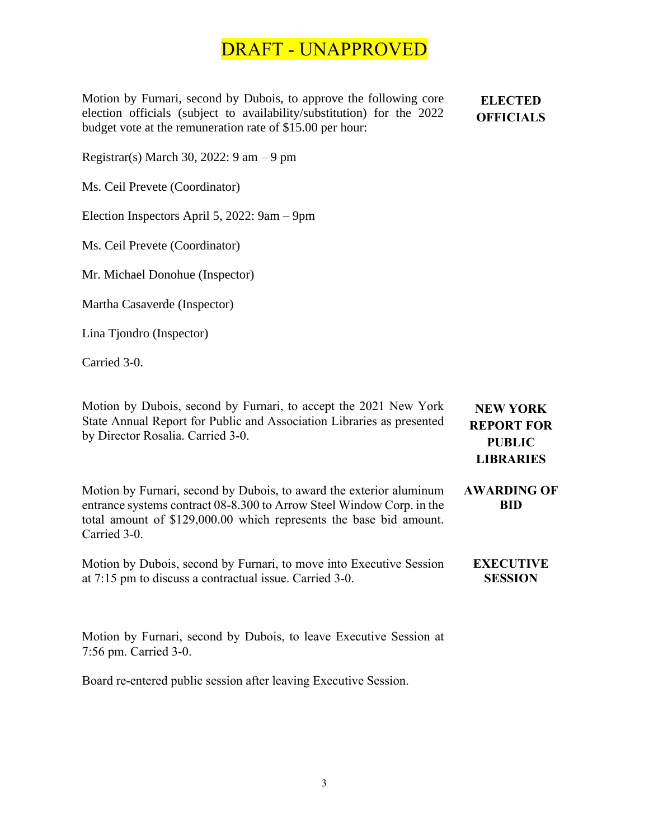Motion by Furnari, second by Dubois, to approve the following core election officials (subject to availability/substitution) for the 2022 budget vote at the remuneration rate of \$15.00 per hour:

**ELECTED OFFICIALS**

Registrar(s) March 30, 2022: 9 am – 9 pm

Ms. Ceil Prevete (Coordinator)

Election Inspectors April 5, 2022: 9am – 9pm

Ms. Ceil Prevete (Coordinator)

Mr. Michael Donohue (Inspector)

Martha Casaverde (Inspector)

Lina Tjondro (Inspector)

Carried 3-0.

Motion by Dubois, second by Furnari, to accept the 2021 New York State Annual Report for Public and Association Libraries as presented by Director Rosalia. Carried 3-0. **NEW YORK REPORT FOR PUBLIC LIBRARIES** Motion by Furnari, second by Dubois, to award the exterior aluminum entrance systems contract 08-8.300 to Arrow Steel Window Corp. in the total amount of \$129,000.00 which represents the base bid amount. Carried 3-0. **AWARDING OF BID** Motion by Dubois, second by Furnari, to move into Executive Session at 7:15 pm to discuss a contractual issue. Carried 3-0. **EXECUTIVE SESSION**

Motion by Furnari, second by Dubois, to leave Executive Session at 7:56 pm. Carried 3-0.

Board re-entered public session after leaving Executive Session.